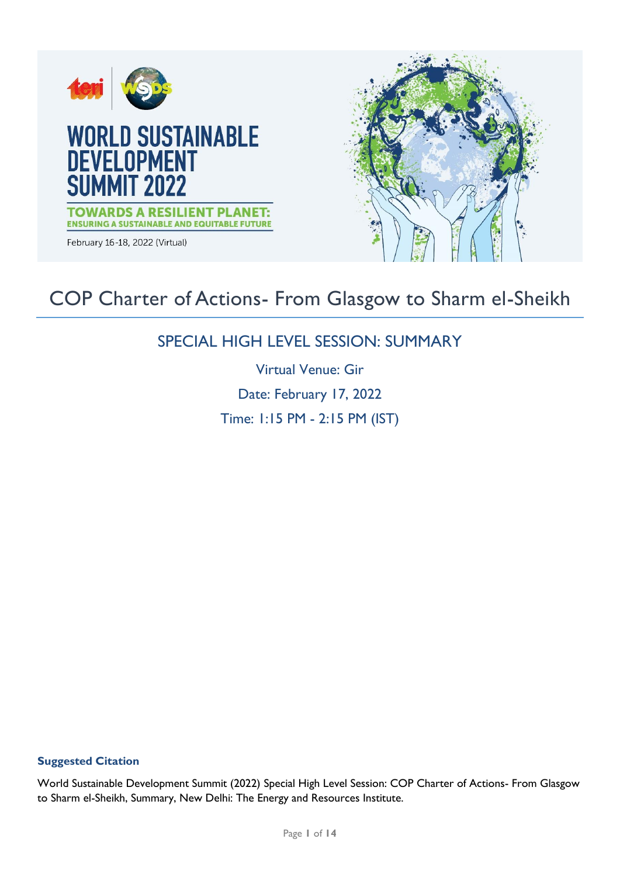

# COP Charter of Actions- From Glasgow to Sharm el-Sheikh

# SPECIAL HIGH LEVEL SESSION: SUMMARY

Virtual Venue: Gir Date: February 17, 2022 Time: 1:15 PM - 2:15 PM (IST)

# **Suggested Citation**

World Sustainable Development Summit (2022) Special High Level Session: COP Charter of Actions- From Glasgow to Sharm el-Sheikh, Summary, New Delhi: The Energy and Resources Institute.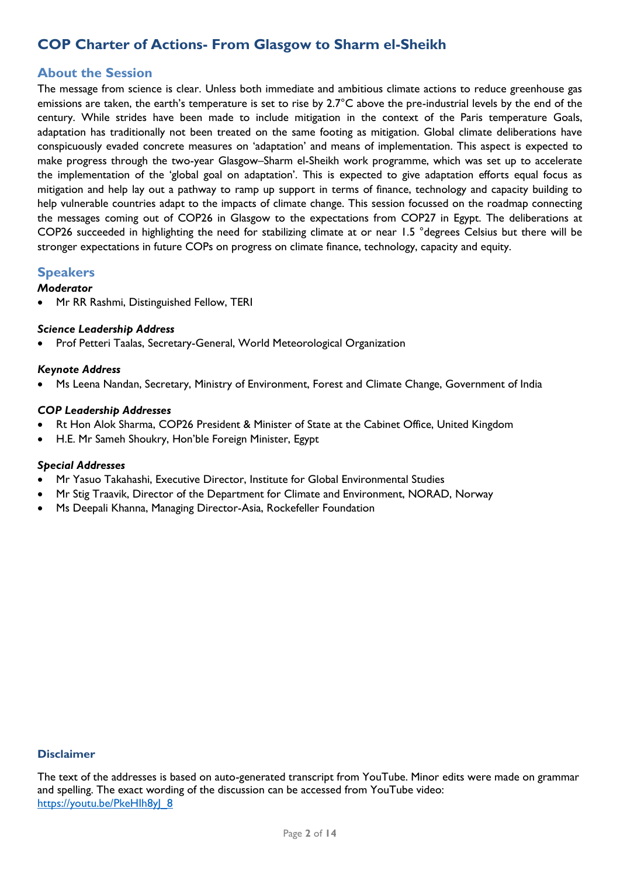# **COP Charter of Actions- From Glasgow to Sharm el-Sheikh**

# **About the Session**

The message from science is clear. Unless both immediate and ambitious climate actions to reduce greenhouse gas emissions are taken, the earth's temperature is set to rise by 2.7°C above the pre-industrial levels by the end of the century. While strides have been made to include mitigation in the context of the Paris temperature Goals, adaptation has traditionally not been treated on the same footing as mitigation. Global climate deliberations have conspicuously evaded concrete measures on 'adaptation' and means of implementation. This aspect is expected to make progress through the two-year Glasgow–Sharm el-Sheikh work programme, which was set up to accelerate the implementation of the 'global goal on adaptation'. This is expected to give adaptation efforts equal focus as mitigation and help lay out a pathway to ramp up support in terms of finance, technology and capacity building to help vulnerable countries adapt to the impacts of climate change. This session focussed on the roadmap connecting the messages coming out of COP26 in Glasgow to the expectations from COP27 in Egypt. The deliberations at COP26 succeeded in highlighting the need for stabilizing climate at or near 1.5 °degrees Celsius but there will be stronger expectations in future COPs on progress on climate finance, technology, capacity and equity.

# **Speakers**

#### *Moderator*

Mr RR Rashmi, Distinguished Fellow, TERI

#### *Science Leadership Address*

Prof Petteri Taalas, Secretary-General, World Meteorological Organization

#### *Keynote Address*

Ms Leena Nandan, Secretary, Ministry of Environment, Forest and Climate Change, Government of India

#### *COP Leadership Addresses*

- Rt Hon Alok Sharma, COP26 President & Minister of State at the Cabinet Office, United Kingdom
- H.E. Mr Sameh Shoukry, Hon'ble Foreign Minister, Egypt

#### *Special Addresses*

- Mr Yasuo Takahashi, Executive Director, Institute for Global Environmental Studies
- Mr Stig Traavik, Director of the Department for Climate and Environment, NORAD, Norway
- Ms Deepali Khanna, Managing Director-Asia, Rockefeller Foundation

#### **Disclaimer**

The text of the addresses is based on auto-generated transcript from YouTube. Minor edits were made on grammar and spelling. The exact wording of the discussion can be accessed from YouTube video: https://youtu.be/PkeHlh8yJ 8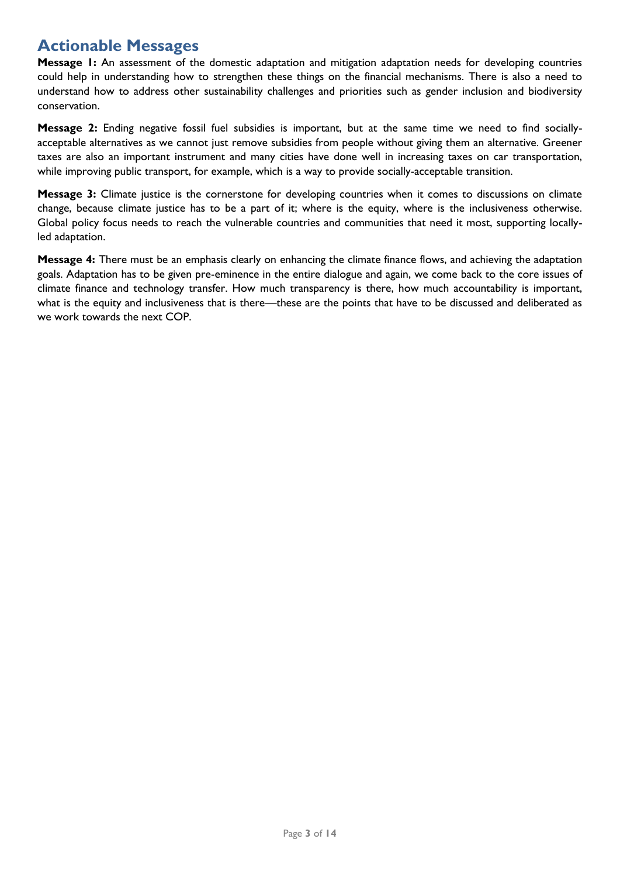# **Actionable Messages**

**Message 1:** An assessment of the domestic adaptation and mitigation adaptation needs for developing countries could help in understanding how to strengthen these things on the financial mechanisms. There is also a need to understand how to address other sustainability challenges and priorities such as gender inclusion and biodiversity conservation.

**Message 2:** Ending negative fossil fuel subsidies is important, but at the same time we need to find sociallyacceptable alternatives as we cannot just remove subsidies from people without giving them an alternative. Greener taxes are also an important instrument and many cities have done well in increasing taxes on car transportation, while improving public transport, for example, which is a way to provide socially-acceptable transition.

**Message 3:** Climate justice is the cornerstone for developing countries when it comes to discussions on climate change, because climate justice has to be a part of it; where is the equity, where is the inclusiveness otherwise. Global policy focus needs to reach the vulnerable countries and communities that need it most, supporting locallyled adaptation.

**Message 4:** There must be an emphasis clearly on enhancing the climate finance flows, and achieving the adaptation goals. Adaptation has to be given pre-eminence in the entire dialogue and again, we come back to the core issues of climate finance and technology transfer. How much transparency is there, how much accountability is important, what is the equity and inclusiveness that is there—these are the points that have to be discussed and deliberated as we work towards the next COP.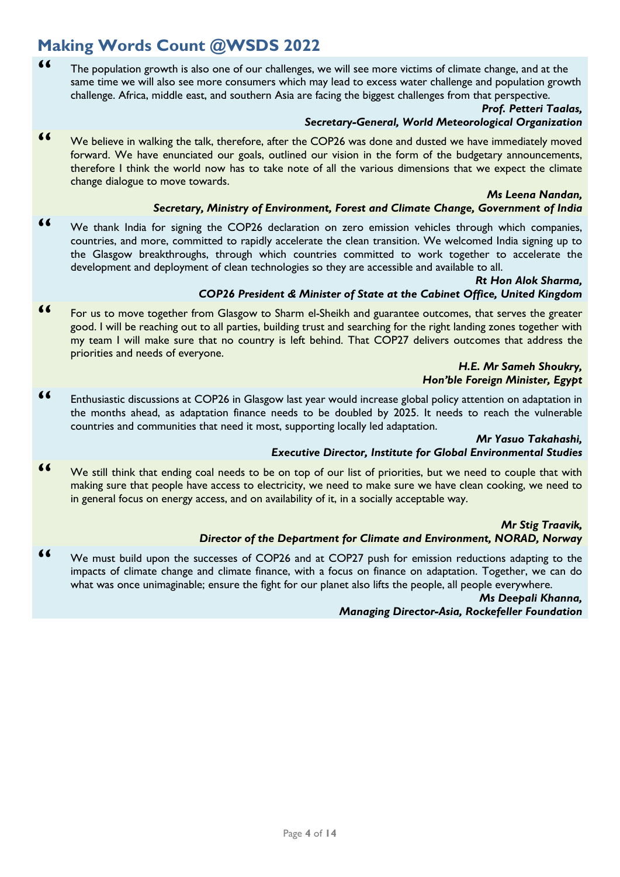# **Making Words Count @WSDS 2022**

**"** The population growth is also one of our challenges, we will see more victims of climate change, and at the same time we will also see more consumers which may lead to excess water challenge and population growth challenge. Africa, middle east, and southern Asia are facing the biggest challenges from that perspective.

# *Prof. Petteri Taalas,*

### *Secretary-General, World Meteorological Organization*

**"** We believe in walking the talk, therefore, after the COP26 was done and dusted we have immediately moved forward. We have enunciated our goals, outlined our vision in the form of the budgetary announcements, therefore I think the world now has to take note of all the various dimensions that we expect the climate change dialogue to move towards.

#### *Ms Leena Nandan,*

#### *Secretary, Ministry of Environment, Forest and Climate Change, Government of India*

**"** We thank India for signing the COP26 declaration on zero emission vehicles through which companies, countries, and more, committed to rapidly accelerate the clean transition. We welcomed India signing up to the Glasgow breakthroughs, through which countries committed to work together to accelerate the development and deployment of clean technologies so they are accessible and available to all.

#### *Rt Hon Alok Sharma, COP26 President & Minister of State at the Cabinet Office, United Kingdom*

**"** For us to move together from Glasgow to Sharm el-Sheikh and guarantee outcomes, that serves the greater good. I will be reaching out to all parties, building trust and searching for the right landing zones together with my team I will make sure that no country is left behind. That COP27 delivers outcomes that address the priorities and needs of everyone.

#### *H.E. Mr Sameh Shoukry, Hon'ble Foreign Minister, Egypt*

**"** Enthusiastic discussions at COP26 in Glasgow last year would increase global policy attention on adaptation in the months ahead, as adaptation finance needs to be doubled by 2025. It needs to reach the vulnerable countries and communities that need it most, supporting locally led adaptation.

# *Mr Yasuo Takahashi,*

# *Executive Director, Institute for Global Environmental Studies*

**"** We still think that ending coal needs to be on top of our list of priorities, but we need to couple that with making sure that people have access to electricity, we need to make sure we have clean cooking, we need to in general focus on energy access, and on availability of it, in a socially acceptable way.

#### *Mr Stig Traavik,*

# *Director of the Department for Climate and Environment, NORAD, Norway*

**"** We must build upon the successes of COP26 and at COP27 push for emission reductions adapting to the impacts of climate change and climate finance, with a focus on finance on adaptation. Together, we can do what was once unimaginable; ensure the fight for our planet also lifts the people, all people everywhere.

> *Ms Deepali Khanna, Managing Director-Asia, Rockefeller Foundation*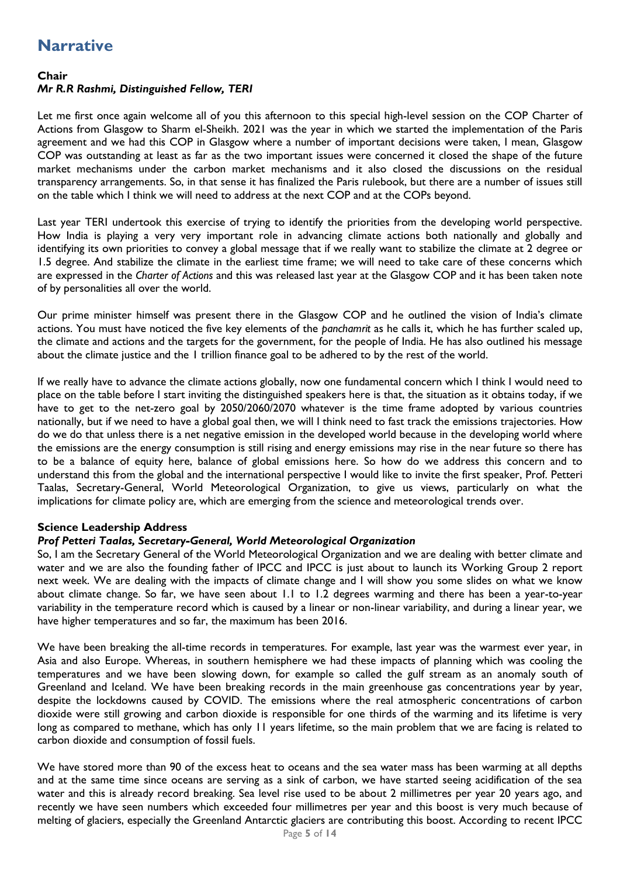# **Narrative**

# **Chair**

# *Mr R.R Rashmi, Distinguished Fellow, TERI*

Let me first once again welcome all of you this afternoon to this special high-level session on the COP Charter of Actions from Glasgow to Sharm el-Sheikh. 2021 was the year in which we started the implementation of the Paris agreement and we had this COP in Glasgow where a number of important decisions were taken, I mean, Glasgow COP was outstanding at least as far as the two important issues were concerned it closed the shape of the future market mechanisms under the carbon market mechanisms and it also closed the discussions on the residual transparency arrangements. So, in that sense it has finalized the Paris rulebook, but there are a number of issues still on the table which I think we will need to address at the next COP and at the COPs beyond.

Last year TERI undertook this exercise of trying to identify the priorities from the developing world perspective. How India is playing a very very important role in advancing climate actions both nationally and globally and identifying its own priorities to convey a global message that if we really want to stabilize the climate at 2 degree or 1.5 degree. And stabilize the climate in the earliest time frame; we will need to take care of these concerns which are expressed in the *Charter of Actions* and this was released last year at the Glasgow COP and it has been taken note of by personalities all over the world.

Our prime minister himself was present there in the Glasgow COP and he outlined the vision of India's climate actions. You must have noticed the five key elements of the *panchamrit* as he calls it, which he has further scaled up, the climate and actions and the targets for the government, for the people of India. He has also outlined his message about the climate justice and the 1 trillion finance goal to be adhered to by the rest of the world.

If we really have to advance the climate actions globally, now one fundamental concern which I think I would need to place on the table before I start inviting the distinguished speakers here is that, the situation as it obtains today, if we have to get to the net-zero goal by 2050/2060/2070 whatever is the time frame adopted by various countries nationally, but if we need to have a global goal then, we will I think need to fast track the emissions trajectories. How do we do that unless there is a net negative emission in the developed world because in the developing world where the emissions are the energy consumption is still rising and energy emissions may rise in the near future so there has to be a balance of equity here, balance of global emissions here. So how do we address this concern and to understand this from the global and the international perspective I would like to invite the first speaker, Prof. Petteri Taalas, Secretary-General, World Meteorological Organization, to give us views, particularly on what the implications for climate policy are, which are emerging from the science and meteorological trends over.

# **Science Leadership Address**

# *Prof Petteri Taalas, Secretary-General, World Meteorological Organization*

So, I am the Secretary General of the World Meteorological Organization and we are dealing with better climate and water and we are also the founding father of IPCC and IPCC is just about to launch its Working Group 2 report next week. We are dealing with the impacts of climate change and I will show you some slides on what we know about climate change. So far, we have seen about 1.1 to 1.2 degrees warming and there has been a year-to-year variability in the temperature record which is caused by a linear or non-linear variability, and during a linear year, we have higher temperatures and so far, the maximum has been 2016.

We have been breaking the all-time records in temperatures. For example, last year was the warmest ever year, in Asia and also Europe. Whereas, in southern hemisphere we had these impacts of planning which was cooling the temperatures and we have been slowing down, for example so called the gulf stream as an anomaly south of Greenland and Iceland. We have been breaking records in the main greenhouse gas concentrations year by year, despite the lockdowns caused by COVID. The emissions where the real atmospheric concentrations of carbon dioxide were still growing and carbon dioxide is responsible for one thirds of the warming and its lifetime is very long as compared to methane, which has only 11 years lifetime, so the main problem that we are facing is related to carbon dioxide and consumption of fossil fuels.

We have stored more than 90 of the excess heat to oceans and the sea water mass has been warming at all depths and at the same time since oceans are serving as a sink of carbon, we have started seeing acidification of the sea water and this is already record breaking. Sea level rise used to be about 2 millimetres per year 20 years ago, and recently we have seen numbers which exceeded four millimetres per year and this boost is very much because of melting of glaciers, especially the Greenland Antarctic glaciers are contributing this boost. According to recent IPCC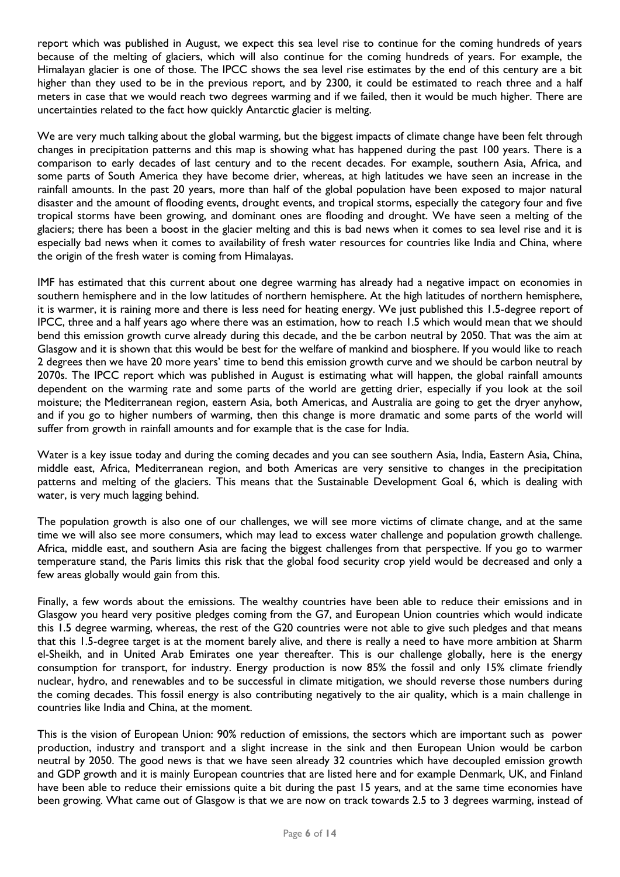report which was published in August, we expect this sea level rise to continue for the coming hundreds of years because of the melting of glaciers, which will also continue for the coming hundreds of years. For example, the Himalayan glacier is one of those. The IPCC shows the sea level rise estimates by the end of this century are a bit higher than they used to be in the previous report, and by 2300, it could be estimated to reach three and a half meters in case that we would reach two degrees warming and if we failed, then it would be much higher. There are uncertainties related to the fact how quickly Antarctic glacier is melting.

We are very much talking about the global warming, but the biggest impacts of climate change have been felt through changes in precipitation patterns and this map is showing what has happened during the past 100 years. There is a comparison to early decades of last century and to the recent decades. For example, southern Asia, Africa, and some parts of South America they have become drier, whereas, at high latitudes we have seen an increase in the rainfall amounts. In the past 20 years, more than half of the global population have been exposed to major natural disaster and the amount of flooding events, drought events, and tropical storms, especially the category four and five tropical storms have been growing, and dominant ones are flooding and drought. We have seen a melting of the glaciers; there has been a boost in the glacier melting and this is bad news when it comes to sea level rise and it is especially bad news when it comes to availability of fresh water resources for countries like India and China, where the origin of the fresh water is coming from Himalayas.

IMF has estimated that this current about one degree warming has already had a negative impact on economies in southern hemisphere and in the low latitudes of northern hemisphere. At the high latitudes of northern hemisphere, it is warmer, it is raining more and there is less need for heating energy. We just published this 1.5-degree report of IPCC, three and a half years ago where there was an estimation, how to reach 1.5 which would mean that we should bend this emission growth curve already during this decade, and the be carbon neutral by 2050. That was the aim at Glasgow and it is shown that this would be best for the welfare of mankind and biosphere. If you would like to reach 2 degrees then we have 20 more years' time to bend this emission growth curve and we should be carbon neutral by 2070s. The IPCC report which was published in August is estimating what will happen, the global rainfall amounts dependent on the warming rate and some parts of the world are getting drier, especially if you look at the soil moisture; the Mediterranean region, eastern Asia, both Americas, and Australia are going to get the dryer anyhow, and if you go to higher numbers of warming, then this change is more dramatic and some parts of the world will suffer from growth in rainfall amounts and for example that is the case for India.

Water is a key issue today and during the coming decades and you can see southern Asia, India, Eastern Asia, China, middle east, Africa, Mediterranean region, and both Americas are very sensitive to changes in the precipitation patterns and melting of the glaciers. This means that the Sustainable Development Goal 6, which is dealing with water, is very much lagging behind.

The population growth is also one of our challenges, we will see more victims of climate change, and at the same time we will also see more consumers, which may lead to excess water challenge and population growth challenge. Africa, middle east, and southern Asia are facing the biggest challenges from that perspective. If you go to warmer temperature stand, the Paris limits this risk that the global food security crop yield would be decreased and only a few areas globally would gain from this.

Finally, a few words about the emissions. The wealthy countries have been able to reduce their emissions and in Glasgow you heard very positive pledges coming from the G7, and European Union countries which would indicate this 1.5 degree warming, whereas, the rest of the G20 countries were not able to give such pledges and that means that this 1.5-degree target is at the moment barely alive, and there is really a need to have more ambition at Sharm el-Sheikh, and in United Arab Emirates one year thereafter. This is our challenge globally, here is the energy consumption for transport, for industry. Energy production is now 85% the fossil and only 15% climate friendly nuclear, hydro, and renewables and to be successful in climate mitigation, we should reverse those numbers during the coming decades. This fossil energy is also contributing negatively to the air quality, which is a main challenge in countries like India and China, at the moment.

This is the vision of European Union: 90% reduction of emissions, the sectors which are important such as power production, industry and transport and a slight increase in the sink and then European Union would be carbon neutral by 2050. The good news is that we have seen already 32 countries which have decoupled emission growth and GDP growth and it is mainly European countries that are listed here and for example Denmark, UK, and Finland have been able to reduce their emissions quite a bit during the past 15 years, and at the same time economies have been growing. What came out of Glasgow is that we are now on track towards 2.5 to 3 degrees warming, instead of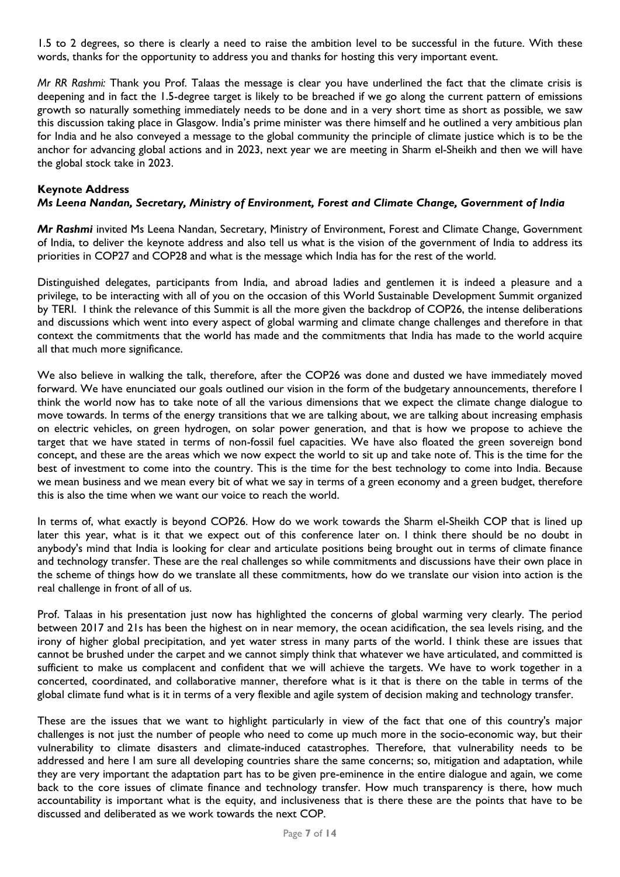1.5 to 2 degrees, so there is clearly a need to raise the ambition level to be successful in the future. With these words, thanks for the opportunity to address you and thanks for hosting this very important event.

*Mr RR Rashmi:* Thank you Prof. Talaas the message is clear you have underlined the fact that the climate crisis is deepening and in fact the 1.5-degree target is likely to be breached if we go along the current pattern of emissions growth so naturally something immediately needs to be done and in a very short time as short as possible, we saw this discussion taking place in Glasgow. India's prime minister was there himself and he outlined a very ambitious plan for India and he also conveyed a message to the global community the principle of climate justice which is to be the anchor for advancing global actions and in 2023, next year we are meeting in Sharm el-Sheikh and then we will have the global stock take in 2023.

#### **Keynote Address**

#### *Ms Leena Nandan, Secretary, Ministry of Environment, Forest and Climate Change, Government of India*

*Mr Rashmi* invited Ms Leena Nandan, Secretary, Ministry of Environment, Forest and Climate Change, Government of India, to deliver the keynote address and also tell us what is the vision of the government of India to address its priorities in COP27 and COP28 and what is the message which India has for the rest of the world.

Distinguished delegates, participants from India, and abroad ladies and gentlemen it is indeed a pleasure and a privilege, to be interacting with all of you on the occasion of this World Sustainable Development Summit organized by TERI. I think the relevance of this Summit is all the more given the backdrop of COP26, the intense deliberations and discussions which went into every aspect of global warming and climate change challenges and therefore in that context the commitments that the world has made and the commitments that India has made to the world acquire all that much more significance.

We also believe in walking the talk, therefore, after the COP26 was done and dusted we have immediately moved forward. We have enunciated our goals outlined our vision in the form of the budgetary announcements, therefore I think the world now has to take note of all the various dimensions that we expect the climate change dialogue to move towards. In terms of the energy transitions that we are talking about, we are talking about increasing emphasis on electric vehicles, on green hydrogen, on solar power generation, and that is how we propose to achieve the target that we have stated in terms of non-fossil fuel capacities. We have also floated the green sovereign bond concept, and these are the areas which we now expect the world to sit up and take note of. This is the time for the best of investment to come into the country. This is the time for the best technology to come into India. Because we mean business and we mean every bit of what we say in terms of a green economy and a green budget, therefore this is also the time when we want our voice to reach the world.

In terms of, what exactly is beyond COP26. How do we work towards the Sharm el-Sheikh COP that is lined up later this year, what is it that we expect out of this conference later on. I think there should be no doubt in anybody's mind that India is looking for clear and articulate positions being brought out in terms of climate finance and technology transfer. These are the real challenges so while commitments and discussions have their own place in the scheme of things how do we translate all these commitments, how do we translate our vision into action is the real challenge in front of all of us.

Prof. Talaas in his presentation just now has highlighted the concerns of global warming very clearly. The period between 2017 and 21s has been the highest on in near memory, the ocean acidification, the sea levels rising, and the irony of higher global precipitation, and yet water stress in many parts of the world. I think these are issues that cannot be brushed under the carpet and we cannot simply think that whatever we have articulated, and committed is sufficient to make us complacent and confident that we will achieve the targets. We have to work together in a concerted, coordinated, and collaborative manner, therefore what is it that is there on the table in terms of the global climate fund what is it in terms of a very flexible and agile system of decision making and technology transfer.

These are the issues that we want to highlight particularly in view of the fact that one of this country's major challenges is not just the number of people who need to come up much more in the socio-economic way, but their vulnerability to climate disasters and climate-induced catastrophes. Therefore, that vulnerability needs to be addressed and here I am sure all developing countries share the same concerns; so, mitigation and adaptation, while they are very important the adaptation part has to be given pre-eminence in the entire dialogue and again, we come back to the core issues of climate finance and technology transfer. How much transparency is there, how much accountability is important what is the equity, and inclusiveness that is there these are the points that have to be discussed and deliberated as we work towards the next COP.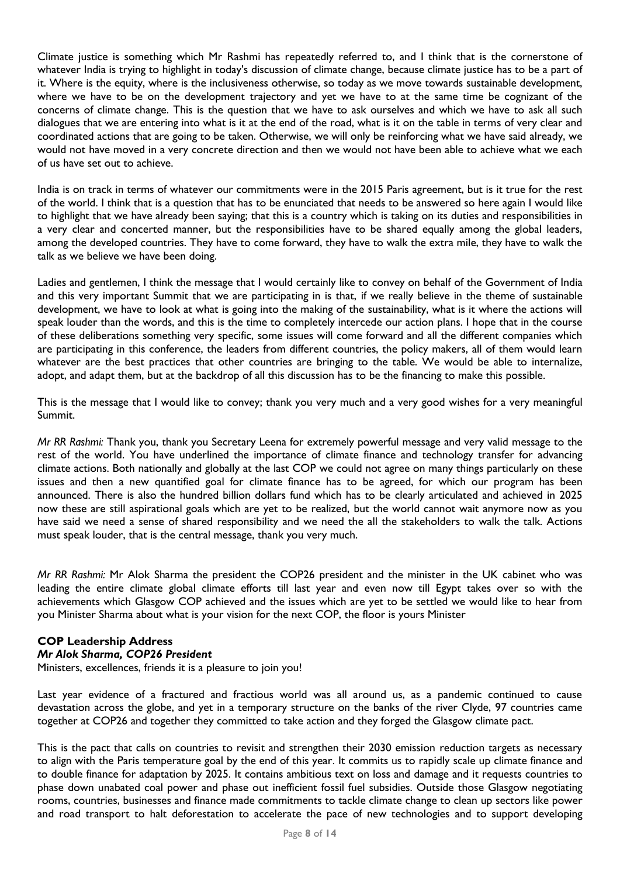Climate justice is something which Mr Rashmi has repeatedly referred to, and I think that is the cornerstone of whatever India is trying to highlight in today's discussion of climate change, because climate justice has to be a part of it. Where is the equity, where is the inclusiveness otherwise, so today as we move towards sustainable development, where we have to be on the development trajectory and yet we have to at the same time be cognizant of the concerns of climate change. This is the question that we have to ask ourselves and which we have to ask all such dialogues that we are entering into what is it at the end of the road, what is it on the table in terms of very clear and coordinated actions that are going to be taken. Otherwise, we will only be reinforcing what we have said already, we would not have moved in a very concrete direction and then we would not have been able to achieve what we each of us have set out to achieve.

India is on track in terms of whatever our commitments were in the 2015 Paris agreement, but is it true for the rest of the world. I think that is a question that has to be enunciated that needs to be answered so here again I would like to highlight that we have already been saying; that this is a country which is taking on its duties and responsibilities in a very clear and concerted manner, but the responsibilities have to be shared equally among the global leaders, among the developed countries. They have to come forward, they have to walk the extra mile, they have to walk the talk as we believe we have been doing.

Ladies and gentlemen, I think the message that I would certainly like to convey on behalf of the Government of India and this very important Summit that we are participating in is that, if we really believe in the theme of sustainable development, we have to look at what is going into the making of the sustainability, what is it where the actions will speak louder than the words, and this is the time to completely intercede our action plans. I hope that in the course of these deliberations something very specific, some issues will come forward and all the different companies which are participating in this conference, the leaders from different countries, the policy makers, all of them would learn whatever are the best practices that other countries are bringing to the table. We would be able to internalize, adopt, and adapt them, but at the backdrop of all this discussion has to be the financing to make this possible.

This is the message that I would like to convey; thank you very much and a very good wishes for a very meaningful Summit.

*Mr RR Rashmi:* Thank you, thank you Secretary Leena for extremely powerful message and very valid message to the rest of the world. You have underlined the importance of climate finance and technology transfer for advancing climate actions. Both nationally and globally at the last COP we could not agree on many things particularly on these issues and then a new quantified goal for climate finance has to be agreed, for which our program has been announced. There is also the hundred billion dollars fund which has to be clearly articulated and achieved in 2025 now these are still aspirational goals which are yet to be realized, but the world cannot wait anymore now as you have said we need a sense of shared responsibility and we need the all the stakeholders to walk the talk. Actions must speak louder, that is the central message, thank you very much.

*Mr RR Rashmi:* Mr Alok Sharma the president the COP26 president and the minister in the UK cabinet who was leading the entire climate global climate efforts till last year and even now till Egypt takes over so with the achievements which Glasgow COP achieved and the issues which are yet to be settled we would like to hear from you Minister Sharma about what is your vision for the next COP, the floor is yours Minister

# **COP Leadership Address**

#### *Mr Alok Sharma, COP26 President*

Ministers, excellences, friends it is a pleasure to join you!

Last year evidence of a fractured and fractious world was all around us, as a pandemic continued to cause devastation across the globe, and yet in a temporary structure on the banks of the river Clyde, 97 countries came together at COP26 and together they committed to take action and they forged the Glasgow climate pact.

This is the pact that calls on countries to revisit and strengthen their 2030 emission reduction targets as necessary to align with the Paris temperature goal by the end of this year. It commits us to rapidly scale up climate finance and to double finance for adaptation by 2025. It contains ambitious text on loss and damage and it requests countries to phase down unabated coal power and phase out inefficient fossil fuel subsidies. Outside those Glasgow negotiating rooms, countries, businesses and finance made commitments to tackle climate change to clean up sectors like power and road transport to halt deforestation to accelerate the pace of new technologies and to support developing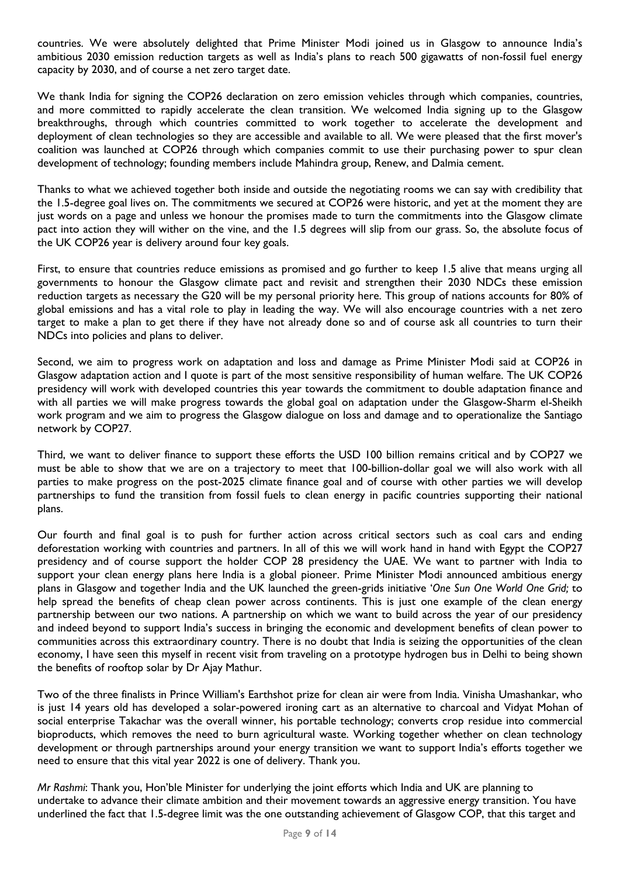countries. We were absolutely delighted that Prime Minister Modi joined us in Glasgow to announce India's ambitious 2030 emission reduction targets as well as India's plans to reach 500 gigawatts of non-fossil fuel energy capacity by 2030, and of course a net zero target date.

We thank India for signing the COP26 declaration on zero emission vehicles through which companies, countries, and more committed to rapidly accelerate the clean transition. We welcomed India signing up to the Glasgow breakthroughs, through which countries committed to work together to accelerate the development and deployment of clean technologies so they are accessible and available to all. We were pleased that the first mover's coalition was launched at COP26 through which companies commit to use their purchasing power to spur clean development of technology; founding members include Mahindra group, Renew, and Dalmia cement.

Thanks to what we achieved together both inside and outside the negotiating rooms we can say with credibility that the 1.5-degree goal lives on. The commitments we secured at COP26 were historic, and yet at the moment they are just words on a page and unless we honour the promises made to turn the commitments into the Glasgow climate pact into action they will wither on the vine, and the 1.5 degrees will slip from our grass. So, the absolute focus of the UK COP26 year is delivery around four key goals.

First, to ensure that countries reduce emissions as promised and go further to keep 1.5 alive that means urging all governments to honour the Glasgow climate pact and revisit and strengthen their 2030 NDCs these emission reduction targets as necessary the G20 will be my personal priority here. This group of nations accounts for 80% of global emissions and has a vital role to play in leading the way. We will also encourage countries with a net zero target to make a plan to get there if they have not already done so and of course ask all countries to turn their NDCs into policies and plans to deliver.

Second, we aim to progress work on adaptation and loss and damage as Prime Minister Modi said at COP26 in Glasgow adaptation action and I quote is part of the most sensitive responsibility of human welfare. The UK COP26 presidency will work with developed countries this year towards the commitment to double adaptation finance and with all parties we will make progress towards the global goal on adaptation under the Glasgow-Sharm el-Sheikh work program and we aim to progress the Glasgow dialogue on loss and damage and to operationalize the Santiago network by COP27.

Third, we want to deliver finance to support these efforts the USD 100 billion remains critical and by COP27 we must be able to show that we are on a trajectory to meet that 100-billion-dollar goal we will also work with all parties to make progress on the post-2025 climate finance goal and of course with other parties we will develop partnerships to fund the transition from fossil fuels to clean energy in pacific countries supporting their national plans.

Our fourth and final goal is to push for further action across critical sectors such as coal cars and ending deforestation working with countries and partners. In all of this we will work hand in hand with Egypt the COP27 presidency and of course support the holder COP 28 presidency the UAE. We want to partner with India to support your clean energy plans here India is a global pioneer. Prime Minister Modi announced ambitious energy plans in Glasgow and together India and the UK launched the green-grids initiative '*One Sun One World One Grid;* to help spread the benefits of cheap clean power across continents. This is just one example of the clean energy partnership between our two nations. A partnership on which we want to build across the year of our presidency and indeed beyond to support India's success in bringing the economic and development benefits of clean power to communities across this extraordinary country. There is no doubt that India is seizing the opportunities of the clean economy, I have seen this myself in recent visit from traveling on a prototype hydrogen bus in Delhi to being shown the benefits of rooftop solar by Dr Ajay Mathur.

Two of the three finalists in Prince William's Earthshot prize for clean air were from India. Vinisha Umashankar, who is just 14 years old has developed a solar-powered ironing cart as an alternative to charcoal and Vidyat Mohan of social enterprise Takachar was the overall winner, his portable technology; converts crop residue into commercial bioproducts, which removes the need to burn agricultural waste. Working together whether on clean technology development or through partnerships around your energy transition we want to support India's efforts together we need to ensure that this vital year 2022 is one of delivery. Thank you.

*Mr Rashmi*: Thank you, Hon'ble Minister for underlying the joint efforts which India and UK are planning to undertake to advance their climate ambition and their movement towards an aggressive energy transition. You have underlined the fact that 1.5-degree limit was the one outstanding achievement of Glasgow COP, that this target and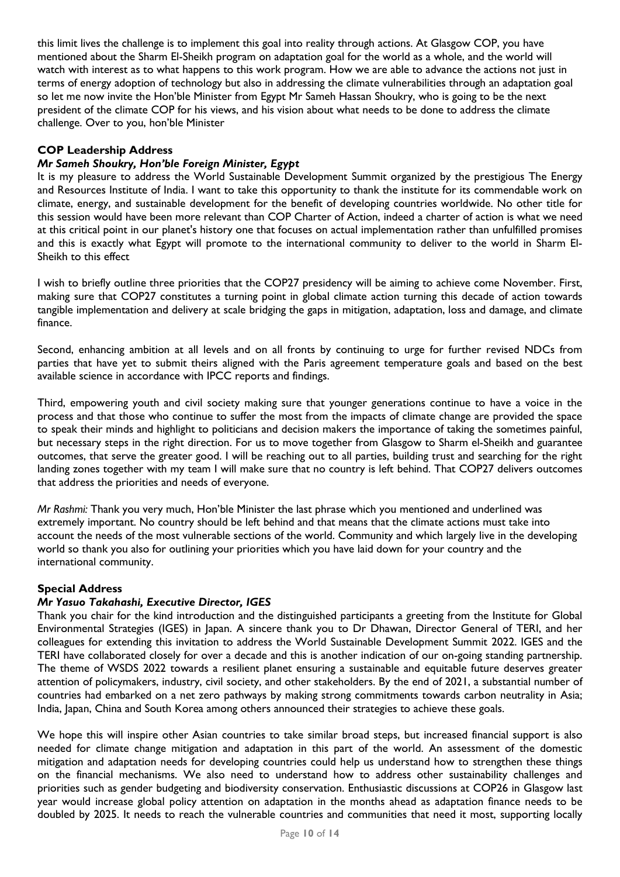this limit lives the challenge is to implement this goal into reality through actions. At Glasgow COP, you have mentioned about the Sharm El-Sheikh program on adaptation goal for the world as a whole, and the world will watch with interest as to what happens to this work program. How we are able to advance the actions not just in terms of energy adoption of technology but also in addressing the climate vulnerabilities through an adaptation goal so let me now invite the Hon'ble Minister from Egypt Mr Sameh Hassan Shoukry, who is going to be the next president of the climate COP for his views, and his vision about what needs to be done to address the climate challenge. Over to you, hon'ble Minister

# **COP Leadership Address**

# *Mr Sameh Shoukry, Hon'ble Foreign Minister, Egypt*

It is my pleasure to address the World Sustainable Development Summit organized by the prestigious The Energy and Resources Institute of India. I want to take this opportunity to thank the institute for its commendable work on climate, energy, and sustainable development for the benefit of developing countries worldwide. No other title for this session would have been more relevant than COP Charter of Action, indeed a charter of action is what we need at this critical point in our planet's history one that focuses on actual implementation rather than unfulfilled promises and this is exactly what Egypt will promote to the international community to deliver to the world in Sharm El-Sheikh to this effect

I wish to briefly outline three priorities that the COP27 presidency will be aiming to achieve come November. First, making sure that COP27 constitutes a turning point in global climate action turning this decade of action towards tangible implementation and delivery at scale bridging the gaps in mitigation, adaptation, loss and damage, and climate finance.

Second, enhancing ambition at all levels and on all fronts by continuing to urge for further revised NDCs from parties that have yet to submit theirs aligned with the Paris agreement temperature goals and based on the best available science in accordance with IPCC reports and findings.

Third, empowering youth and civil society making sure that younger generations continue to have a voice in the process and that those who continue to suffer the most from the impacts of climate change are provided the space to speak their minds and highlight to politicians and decision makers the importance of taking the sometimes painful, but necessary steps in the right direction. For us to move together from Glasgow to Sharm el-Sheikh and guarantee outcomes, that serve the greater good. I will be reaching out to all parties, building trust and searching for the right landing zones together with my team I will make sure that no country is left behind. That COP27 delivers outcomes that address the priorities and needs of everyone.

*Mr Rashmi:* Thank you very much, Hon'ble Minister the last phrase which you mentioned and underlined was extremely important. No country should be left behind and that means that the climate actions must take into account the needs of the most vulnerable sections of the world. Community and which largely live in the developing world so thank you also for outlining your priorities which you have laid down for your country and the international community.

# **Special Address**

# *Mr Yasuo Takahashi, Executive Director, IGES*

Thank you chair for the kind introduction and the distinguished participants a greeting from the Institute for Global Environmental Strategies (IGES) in Japan. A sincere thank you to Dr Dhawan, Director General of TERI, and her colleagues for extending this invitation to address the World Sustainable Development Summit 2022. IGES and the TERI have collaborated closely for over a decade and this is another indication of our on-going standing partnership. The theme of WSDS 2022 towards a resilient planet ensuring a sustainable and equitable future deserves greater attention of policymakers, industry, civil society, and other stakeholders. By the end of 2021, a substantial number of countries had embarked on a net zero pathways by making strong commitments towards carbon neutrality in Asia; India, Japan, China and South Korea among others announced their strategies to achieve these goals.

We hope this will inspire other Asian countries to take similar broad steps, but increased financial support is also needed for climate change mitigation and adaptation in this part of the world. An assessment of the domestic mitigation and adaptation needs for developing countries could help us understand how to strengthen these things on the financial mechanisms. We also need to understand how to address other sustainability challenges and priorities such as gender budgeting and biodiversity conservation. Enthusiastic discussions at COP26 in Glasgow last year would increase global policy attention on adaptation in the months ahead as adaptation finance needs to be doubled by 2025. It needs to reach the vulnerable countries and communities that need it most, supporting locally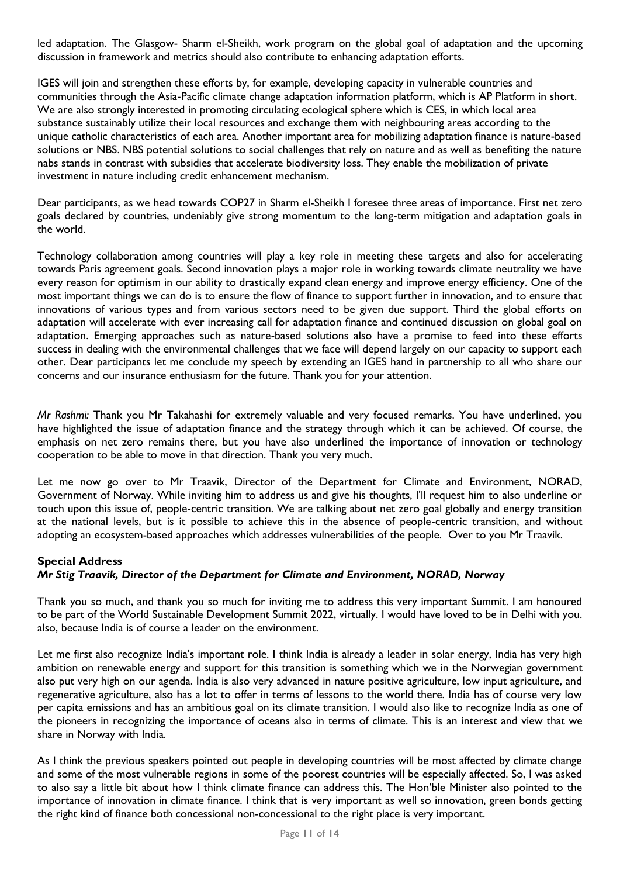led adaptation. The Glasgow- Sharm el-Sheikh, work program on the global goal of adaptation and the upcoming discussion in framework and metrics should also contribute to enhancing adaptation efforts.

IGES will join and strengthen these efforts by, for example, developing capacity in vulnerable countries and communities through the Asia-Pacific climate change adaptation information platform, which is AP Platform in short. We are also strongly interested in promoting circulating ecological sphere which is CES, in which local area substance sustainably utilize their local resources and exchange them with neighbouring areas according to the unique catholic characteristics of each area. Another important area for mobilizing adaptation finance is nature-based solutions or NBS. NBS potential solutions to social challenges that rely on nature and as well as benefiting the nature nabs stands in contrast with subsidies that accelerate biodiversity loss. They enable the mobilization of private investment in nature including credit enhancement mechanism.

Dear participants, as we head towards COP27 in Sharm el-Sheikh I foresee three areas of importance. First net zero goals declared by countries, undeniably give strong momentum to the long-term mitigation and adaptation goals in the world.

Technology collaboration among countries will play a key role in meeting these targets and also for accelerating towards Paris agreement goals. Second innovation plays a major role in working towards climate neutrality we have every reason for optimism in our ability to drastically expand clean energy and improve energy efficiency. One of the most important things we can do is to ensure the flow of finance to support further in innovation, and to ensure that innovations of various types and from various sectors need to be given due support. Third the global efforts on adaptation will accelerate with ever increasing call for adaptation finance and continued discussion on global goal on adaptation. Emerging approaches such as nature-based solutions also have a promise to feed into these efforts success in dealing with the environmental challenges that we face will depend largely on our capacity to support each other. Dear participants let me conclude my speech by extending an IGES hand in partnership to all who share our concerns and our insurance enthusiasm for the future. Thank you for your attention.

*Mr Rashmi:* Thank you Mr Takahashi for extremely valuable and very focused remarks. You have underlined, you have highlighted the issue of adaptation finance and the strategy through which it can be achieved. Of course, the emphasis on net zero remains there, but you have also underlined the importance of innovation or technology cooperation to be able to move in that direction. Thank you very much.

Let me now go over to Mr Traavik, Director of the Department for Climate and Environment, NORAD, Government of Norway. While inviting him to address us and give his thoughts, I'll request him to also underline or touch upon this issue of, people-centric transition. We are talking about net zero goal globally and energy transition at the national levels, but is it possible to achieve this in the absence of people-centric transition, and without adopting an ecosystem-based approaches which addresses vulnerabilities of the people. Over to you Mr Traavik.

#### **Special Address**

# *Mr Stig Traavik, Director of the Department for Climate and Environment, NORAD, Norway*

Thank you so much, and thank you so much for inviting me to address this very important Summit. I am honoured to be part of the World Sustainable Development Summit 2022, virtually. I would have loved to be in Delhi with you. also, because India is of course a leader on the environment.

Let me first also recognize India's important role. I think India is already a leader in solar energy, India has very high ambition on renewable energy and support for this transition is something which we in the Norwegian government also put very high on our agenda. India is also very advanced in nature positive agriculture, low input agriculture, and regenerative agriculture, also has a lot to offer in terms of lessons to the world there. India has of course very low per capita emissions and has an ambitious goal on its climate transition. I would also like to recognize India as one of the pioneers in recognizing the importance of oceans also in terms of climate. This is an interest and view that we share in Norway with India.

As I think the previous speakers pointed out people in developing countries will be most affected by climate change and some of the most vulnerable regions in some of the poorest countries will be especially affected. So, I was asked to also say a little bit about how I think climate finance can address this. The Hon'ble Minister also pointed to the importance of innovation in climate finance. I think that is very important as well so innovation, green bonds getting the right kind of finance both concessional non-concessional to the right place is very important.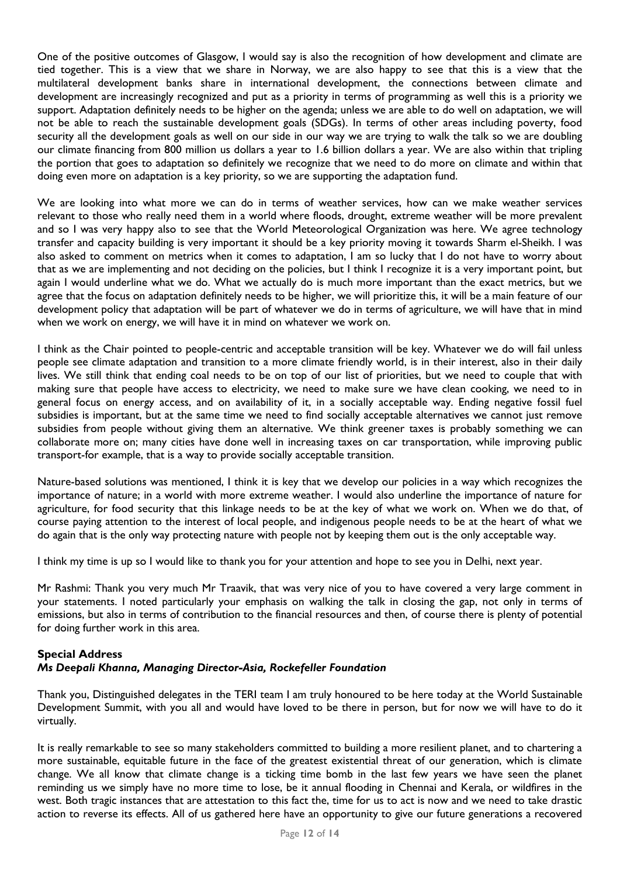One of the positive outcomes of Glasgow, I would say is also the recognition of how development and climate are tied together. This is a view that we share in Norway, we are also happy to see that this is a view that the multilateral development banks share in international development, the connections between climate and development are increasingly recognized and put as a priority in terms of programming as well this is a priority we support. Adaptation definitely needs to be higher on the agenda; unless we are able to do well on adaptation, we will not be able to reach the sustainable development goals (SDGs). In terms of other areas including poverty, food security all the development goals as well on our side in our way we are trying to walk the talk so we are doubling our climate financing from 800 million us dollars a year to 1.6 billion dollars a year. We are also within that tripling the portion that goes to adaptation so definitely we recognize that we need to do more on climate and within that doing even more on adaptation is a key priority, so we are supporting the adaptation fund.

We are looking into what more we can do in terms of weather services, how can we make weather services relevant to those who really need them in a world where floods, drought, extreme weather will be more prevalent and so I was very happy also to see that the World Meteorological Organization was here. We agree technology transfer and capacity building is very important it should be a key priority moving it towards Sharm el-Sheikh. I was also asked to comment on metrics when it comes to adaptation, I am so lucky that I do not have to worry about that as we are implementing and not deciding on the policies, but I think I recognize it is a very important point, but again I would underline what we do. What we actually do is much more important than the exact metrics, but we agree that the focus on adaptation definitely needs to be higher, we will prioritize this, it will be a main feature of our development policy that adaptation will be part of whatever we do in terms of agriculture, we will have that in mind when we work on energy, we will have it in mind on whatever we work on.

I think as the Chair pointed to people-centric and acceptable transition will be key. Whatever we do will fail unless people see climate adaptation and transition to a more climate friendly world, is in their interest, also in their daily lives. We still think that ending coal needs to be on top of our list of priorities, but we need to couple that with making sure that people have access to electricity, we need to make sure we have clean cooking, we need to in general focus on energy access, and on availability of it, in a socially acceptable way. Ending negative fossil fuel subsidies is important, but at the same time we need to find socially acceptable alternatives we cannot just remove subsidies from people without giving them an alternative. We think greener taxes is probably something we can collaborate more on; many cities have done well in increasing taxes on car transportation, while improving public transport-for example, that is a way to provide socially acceptable transition.

Nature-based solutions was mentioned, I think it is key that we develop our policies in a way which recognizes the importance of nature; in a world with more extreme weather. I would also underline the importance of nature for agriculture, for food security that this linkage needs to be at the key of what we work on. When we do that, of course paying attention to the interest of local people, and indigenous people needs to be at the heart of what we do again that is the only way protecting nature with people not by keeping them out is the only acceptable way.

I think my time is up so I would like to thank you for your attention and hope to see you in Delhi, next year.

Mr Rashmi: Thank you very much Mr Traavik, that was very nice of you to have covered a very large comment in your statements. I noted particularly your emphasis on walking the talk in closing the gap, not only in terms of emissions, but also in terms of contribution to the financial resources and then, of course there is plenty of potential for doing further work in this area.

#### **Special Address**  *Ms Deepali Khanna, Managing Director-Asia, Rockefeller Foundation*

Thank you, Distinguished delegates in the TERI team I am truly honoured to be here today at the World Sustainable Development Summit, with you all and would have loved to be there in person, but for now we will have to do it virtually.

It is really remarkable to see so many stakeholders committed to building a more resilient planet, and to chartering a more sustainable, equitable future in the face of the greatest existential threat of our generation, which is climate change. We all know that climate change is a ticking time bomb in the last few years we have seen the planet reminding us we simply have no more time to lose, be it annual flooding in Chennai and Kerala, or wildfires in the west. Both tragic instances that are attestation to this fact the, time for us to act is now and we need to take drastic action to reverse its effects. All of us gathered here have an opportunity to give our future generations a recovered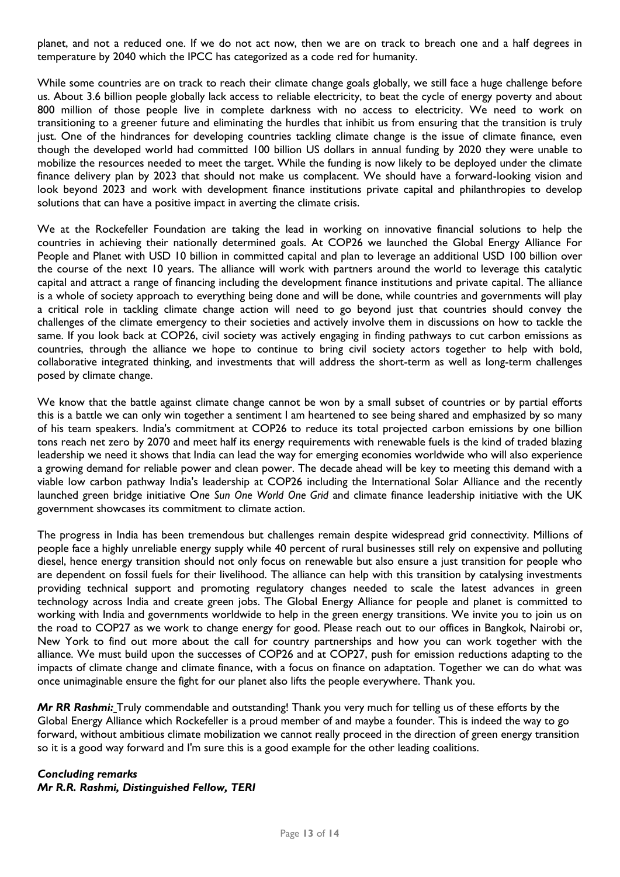planet, and not a reduced one. If we do not act now, then we are on track to breach one and a half degrees in temperature by 2040 which the IPCC has categorized as a code red for humanity.

While some countries are on track to reach their climate change goals globally, we still face a huge challenge before us. About 3.6 billion people globally lack access to reliable electricity, to beat the cycle of energy poverty and about 800 million of those people live in complete darkness with no access to electricity. We need to work on transitioning to a greener future and eliminating the hurdles that inhibit us from ensuring that the transition is truly just. One of the hindrances for developing countries tackling climate change is the issue of climate finance, even though the developed world had committed 100 billion US dollars in annual funding by 2020 they were unable to mobilize the resources needed to meet the target. While the funding is now likely to be deployed under the climate finance delivery plan by 2023 that should not make us complacent. We should have a forward-looking vision and look beyond 2023 and work with development finance institutions private capital and philanthropies to develop solutions that can have a positive impact in averting the climate crisis.

We at the Rockefeller Foundation are taking the lead in working on innovative financial solutions to help the countries in achieving their nationally determined goals. At COP26 we launched the Global Energy Alliance For People and Planet with USD 10 billion in committed capital and plan to leverage an additional USD 100 billion over the course of the next 10 years. The alliance will work with partners around the world to leverage this catalytic capital and attract a range of financing including the development finance institutions and private capital. The alliance is a whole of society approach to everything being done and will be done, while countries and governments will play a critical role in tackling climate change action will need to go beyond just that countries should convey the challenges of the climate emergency to their societies and actively involve them in discussions on how to tackle the same. If you look back at COP26, civil society was actively engaging in finding pathways to cut carbon emissions as countries, through the alliance we hope to continue to bring civil society actors together to help with bold, collaborative integrated thinking, and investments that will address the short-term as well as long-term challenges posed by climate change.

We know that the battle against climate change cannot be won by a small subset of countries or by partial efforts this is a battle we can only win together a sentiment I am heartened to see being shared and emphasized by so many of his team speakers. India's commitment at COP26 to reduce its total projected carbon emissions by one billion tons reach net zero by 2070 and meet half its energy requirements with renewable fuels is the kind of traded blazing leadership we need it shows that India can lead the way for emerging economies worldwide who will also experience a growing demand for reliable power and clean power. The decade ahead will be key to meeting this demand with a viable low carbon pathway India's leadership at COP26 including the International Solar Alliance and the recently launched green bridge initiative O*ne Sun One World One Grid* and climate finance leadership initiative with the UK government showcases its commitment to climate action.

The progress in India has been tremendous but challenges remain despite widespread grid connectivity. Millions of people face a highly unreliable energy supply while 40 percent of rural businesses still rely on expensive and polluting diesel, hence energy transition should not only focus on renewable but also ensure a just transition for people who are dependent on fossil fuels for their livelihood. The alliance can help with this transition by catalysing investments providing technical support and promoting regulatory changes needed to scale the latest advances in green technology across India and create green jobs. The Global Energy Alliance for people and planet is committed to working with India and governments worldwide to help in the green energy transitions. We invite you to join us on the road to COP27 as we work to change energy for good. Please reach out to our offices in Bangkok, Nairobi or, New York to find out more about the call for country partnerships and how you can work together with the alliance. We must build upon the successes of COP26 and at COP27, push for emission reductions adapting to the impacts of climate change and climate finance, with a focus on finance on adaptation. Together we can do what was once unimaginable ensure the fight for our planet also lifts the people everywhere. Thank you.

*Mr RR Rashmi:* Truly commendable and outstanding! Thank you very much for telling us of these efforts by the Global Energy Alliance which Rockefeller is a proud member of and maybe a founder. This is indeed the way to go forward, without ambitious climate mobilization we cannot really proceed in the direction of green energy transition so it is a good way forward and I'm sure this is a good example for the other leading coalitions.

#### *Concluding remarks Mr R.R. Rashmi, Distinguished Fellow, TERI*